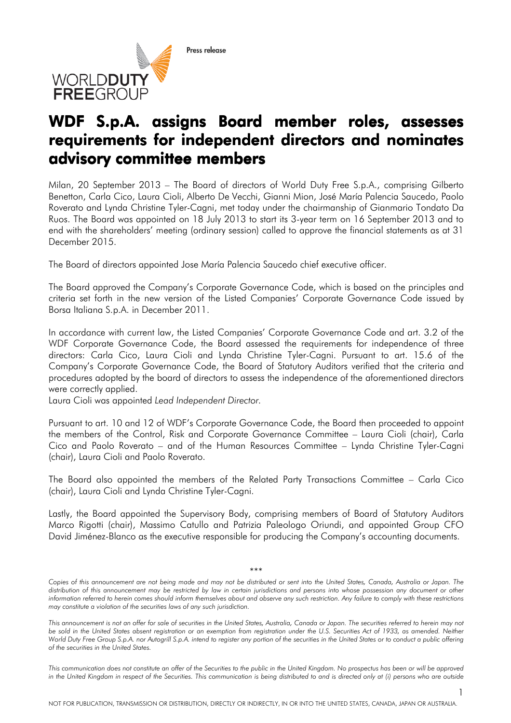Press release



## WDF S.p.A. assigns Board member roles, assesses requirements for independent directors and nominates advisory committee members

Milan, 20 September 2013 – The Board of directors of World Duty Free S.p.A., comprising Gilberto Benetton, Carla Cico, Laura Cioli, Alberto De Vecchi, Gianni Mion, José María Palencia Saucedo, Paolo Roverato and Lynda Christine Tyler-Cagni, met today under the chairmanship of Gianmario Tondato Da Ruos. The Board was appointed on 18 July 2013 to start its 3-year term on 16 September 2013 and to end with the shareholders' meeting (ordinary session) called to approve the financial statements as at 31 December 2015.

The Board of directors appointed Jose María Palencia Saucedo chief executive officer.

The Board approved the Company's Corporate Governance Code, which is based on the principles and criteria set forth in the new version of the Listed Companies' Corporate Governance Code issued by Borsa Italiana S.p.A. in December 2011.

In accordance with current law, the Listed Companies' Corporate Governance Code and art. 3.2 of the WDF Corporate Governance Code, the Board assessed the requirements for independence of three directors: Carla Cico, Laura Cioli and Lynda Christine Tyler-Cagni. Pursuant to art. 15.6 of the Company's Corporate Governance Code, the Board of Statutory Auditors verified that the criteria and procedures adopted by the board of directors to assess the independence of the aforementioned directors were correctly applied.

Laura Cioli was appointed *Lead Independent Director.*

Pursuant to art. 10 and 12 of WDF's Corporate Governance Code, the Board then proceeded to appoint the members of the Control, Risk and Corporate Governance Committee – Laura Cioli (chair), Carla Cico and Paolo Roverato – and of the Human Resources Committee – Lynda Christine Tyler-Cagni (chair), Laura Cioli and Paolo Roverato.

The Board also appointed the members of the Related Party Transactions Committee – Carla Cico (chair), Laura Cioli and Lynda Christine Tyler-Cagni.

Lastly, the Board appointed the Supervisory Body, comprising members of Board of Statutory Auditors Marco Rigotti (chair), Massimo Catullo and Patrizia Paleologo Oriundi, and appointed Group CFO David Jiménez-Blanco as the executive responsible for producing the Company's accounting documents.

## \*\*\*

*This communication does not constitute an offer of the Securities to the public in the United Kingdom. No prospectus has been or will be approved in the United Kingdom in respect of the Securities. This communication is being distributed to and is directed only at (i) persons who are outside* 

*Copies of this announcement are not being made and may not be distributed or sent into the United States, Canada, Australia or Japan. The*  distribution of this announcement may be restricted by law in certain jurisdictions and persons into whose possession any document or other *information referred to herein comes should inform themselves about and observe any such restriction. Any failure to comply with these restrictions may constitute a violation of the securities laws of any such jurisdiction.* 

*This announcement is not an offer for sale of securities in the United States, Australia, Canada or Japan. The securities referred to herein may not*  be sold in the United States absent registration or an exemption from registration under the U.S. Securities Act of 1933, as amended. Neither World Duty Free Group S.p.A. nor Autogrill S.p.A. intend to register any portion of the securities in the United States or to conduct a public offering *of the securities in the United States.*